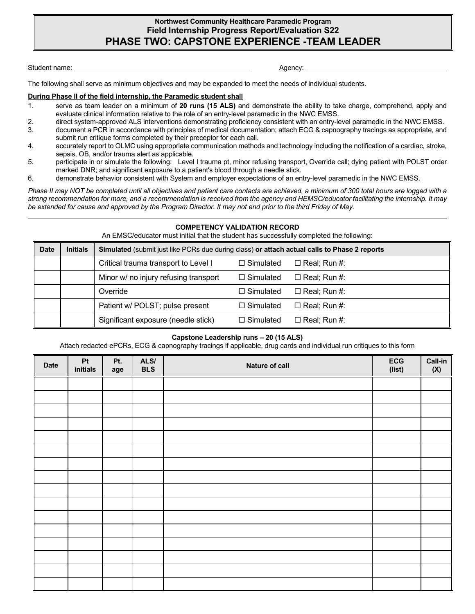## **Northwest Community Healthcare Paramedic Program Field Internship Progress Report/Evaluation S22 PHASE TWO: CAPSTONE EXPERIENCE -TEAM LEADER**

Student name: Agency: Agency: Agency: Agency: Agency: Agency: Agency: Agency: Agency: Agency: Agency: Agency: Agency: Agency: Agency: Agency: Agency: Agency: Agency: Agency: Agency: Agency: Agency: Agency: Agency: Agency:

The following shall serve as minimum objectives and may be expanded to meet the needs of individual students.

#### **During Phase II of the field internship, the Paramedic student shall**

- 1. serve as team leader on a minimum of **20 runs (15 ALS)** and demonstrate the ability to take charge, comprehend, apply and evaluate clinical information relative to the role of an entry-level paramedic in the NWC EMSS.
- 2. direct system-approved ALS interventions demonstrating proficiency consistent with an entry-level paramedic in the NWC EMSS.
- 3. document a PCR in accordance with principles of medical documentation; attach ECG & capnography tracings as appropriate, and submit run critique forms completed by their preceptor for each call.
- 4. accurately report to OLMC using appropriate communication methods and technology including the notification of a cardiac, stroke, sepsis, OB, and/or trauma alert as applicable.
- 5. participate in or simulate the following: Level I trauma pt, minor refusing transport, Override call; dying patient with POLST order marked DNR; and significant exposure to a patient's blood through a needle stick.
- 6. demonstrate behavior consistent with System and employer expectations of an entry-level paramedic in the NWC EMSS.

*Phase II may NOT be completed until all objectives and patient care contacts are achieved, a minimum of 300 total hours are logged with a strong recommendation for more, and a recommendation is received from the agency and HEMSC/educator facilitating the internship. It may be extended for cause and approved by the Program Director. It may not end prior to the third Friday of May.*

#### **COMPETENCY VALIDATION RECORD**

An EMSC/educator must initial that the student has successfully completed the following:

| <b>Date</b> | <b>Initials</b> | <b>Simulated (submit just like PCRs due during class) or attach actual calls to Phase 2 reports</b> |                  |                     |  |  |  |
|-------------|-----------------|-----------------------------------------------------------------------------------------------------|------------------|---------------------|--|--|--|
|             |                 | Critical trauma transport to Level I                                                                | $\Box$ Simulated | $\Box$ Real; Run #: |  |  |  |
|             |                 | Minor w/ no injury refusing transport                                                               | $\Box$ Simulated | $\Box$ Real; Run #: |  |  |  |
|             |                 | Override                                                                                            | $\Box$ Simulated | $\Box$ Real; Run #: |  |  |  |
|             |                 | Patient w/ POLST; pulse present                                                                     | $\Box$ Simulated | $\Box$ Real; Run #: |  |  |  |
|             |                 | Significant exposure (needle stick)                                                                 | $\Box$ Simulated | $\Box$ Real; Run #: |  |  |  |

#### **Capstone Leadership runs – 20 (15 ALS)**

Attach redacted ePCRs, ECG & capnography tracings if applicable, drug cards and individual run critiques to this form

| <b>Date</b> | $\mathsf{Pt}$<br>initials | Pt.<br>age | ALS/<br><b>BLS</b> | Nature of call | ECG<br>(list) | <b>Call-in</b><br>(X) |
|-------------|---------------------------|------------|--------------------|----------------|---------------|-----------------------|
|             |                           |            |                    |                |               |                       |
|             |                           |            |                    |                |               |                       |
|             |                           |            |                    |                |               |                       |
|             |                           |            |                    |                |               |                       |
|             |                           |            |                    |                |               |                       |
|             |                           |            |                    |                |               |                       |
|             |                           |            |                    |                |               |                       |
|             |                           |            |                    |                |               |                       |
|             |                           |            |                    |                |               |                       |
|             |                           |            |                    |                |               |                       |
|             |                           |            |                    |                |               |                       |
|             |                           |            |                    |                |               |                       |
|             |                           |            |                    |                |               |                       |
|             |                           |            |                    |                |               |                       |
|             |                           |            |                    |                |               |                       |
|             |                           |            |                    |                |               |                       |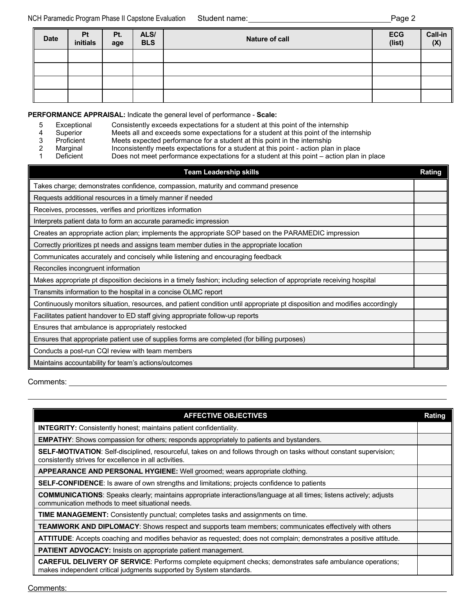| <b>Date</b> | Pt<br>initials | Pt.<br>age | ALS/<br><b>BLS</b> | Nature of call | ECG<br>(list) | $Call-in$<br>$(\mathsf{X})$ |
|-------------|----------------|------------|--------------------|----------------|---------------|-----------------------------|
|             |                |            |                    |                |               |                             |
|             |                |            |                    |                |               |                             |
|             |                |            |                    |                |               |                             |
|             |                |            |                    |                |               |                             |

**PERFORMANCE APPRAISAL:** Indicate the general level of performance - **Scale:**

- 5 Exceptional Consistently exceeds expectations for a student at this point of the internship<br>4 Superior Meets all and exceeds some expectations for a student at this point of the inte
- 4 Superior Meets all and exceeds some expectations for a student at this point of the internship<br>3 Proficient Meets expected performance for a student at this point in the internship
- 3 Proficient Meets expected performance for a student at this point in the internship<br>2 Marginal 11 Inconsistently meets expectations for a student at this point action plan
- 2 Marginal Inconsistently meets expectations for a student at this point action plan in place<br>1 Deficient Does not meet performance expectations for a student at this point action plan i
	- Does not meet performance expectations for a student at this point action plan in place

| <b>Team Leadership skills</b>                                                                                               | Rating |
|-----------------------------------------------------------------------------------------------------------------------------|--------|
| Takes charge; demonstrates confidence, compassion, maturity and command presence                                            |        |
| Requests additional resources in a timely manner if needed                                                                  |        |
| Receives, processes, verifies and prioritizes information                                                                   |        |
| Interprets patient data to form an accurate paramedic impression                                                            |        |
| Creates an appropriate action plan; implements the appropriate SOP based on the PARAMEDIC impression                        |        |
| Correctly prioritizes pt needs and assigns team member duties in the appropriate location                                   |        |
| Communicates accurately and concisely while listening and encouraging feedback                                              |        |
| Reconciles incongruent information                                                                                          |        |
| Makes appropriate pt disposition decisions in a timely fashion; including selection of appropriate receiving hospital       |        |
| Transmits information to the hospital in a concise OLMC report                                                              |        |
| Continuously monitors situation, resources, and patient condition until appropriate pt disposition and modifies accordingly |        |
| Facilitates patient handover to ED staff giving appropriate follow-up reports                                               |        |
| Ensures that ambulance is appropriately restocked                                                                           |        |
| Ensures that appropriate patient use of supplies forms are completed (for billing purposes)                                 |        |
| Conducts a post-run CQI review with team members                                                                            |        |
| Maintains accountability for team's actions/outcomes                                                                        |        |

Comments:

| <b>AFFECTIVE OBJECTIVES</b>                                                                                                                                                           | Rating |
|---------------------------------------------------------------------------------------------------------------------------------------------------------------------------------------|--------|
| <b>INTEGRITY:</b> Consistently honest; maintains patient confidentiality.                                                                                                             |        |
| <b>EMPATHY:</b> Shows compassion for others; responds appropriately to patients and bystanders.                                                                                       |        |
| <b>SELF-MOTIVATION</b> : Self-disciplined, resourceful, takes on and follows through on tasks without constant supervision;<br>consistently strives for excellence in all activities. |        |
| <b>APPEARANCE AND PERSONAL HYGIENE:</b> Well groomed; wears appropriate clothing.                                                                                                     |        |
| <b>SELF-CONFIDENCE:</b> Is aware of own strengths and limitations; projects confidence to patients                                                                                    |        |
| <b>COMMUNICATIONS:</b> Speaks clearly; maintains appropriate interactions/language at all times; listens actively; adjusts<br>communication methods to meet situational needs.        |        |
| <b>TIME MANAGEMENT:</b> Consistently punctual; completes tasks and assignments on time.                                                                                               |        |
| <b>TEAMWORK AND DIPLOMACY</b> : Shows respect and supports team members; communicates effectively with others                                                                         |        |
| <b>ATTITUDE</b> : Accepts coaching and modifies behavior as requested; does not complain; demonstrates a positive attitude.                                                           |        |
| <b>PATIENT ADVOCACY:</b> Insists on appropriate patient management.                                                                                                                   |        |
| CAREFUL DELIVERY OF SERVICE: Performs complete equipment checks; demonstrates safe ambulance operations;<br>makes independent critical judgments supported by System standards.       |        |

Comments: